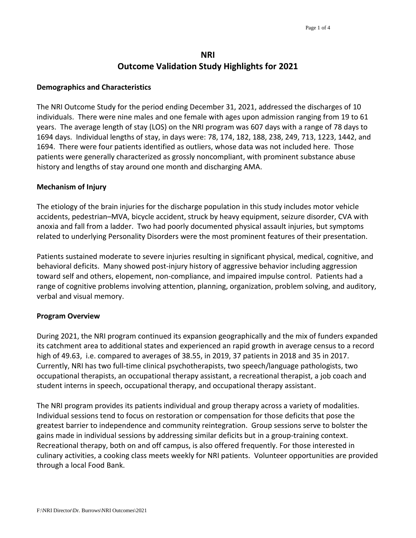# **NRI Outcome Validation Study Highlights for 2021**

### **Demographics and Characteristics**

The NRI Outcome Study for the period ending December 31, 2021, addressed the discharges of 10 individuals. There were nine males and one female with ages upon admission ranging from 19 to 61 years. The average length of stay (LOS) on the NRI program was 607 days with a range of 78 days to 1694 days. Individual lengths of stay, in days were: 78, 174, 182, 188, 238, 249, 713, 1223, 1442, and 1694. There were four patients identified as outliers, whose data was not included here. Those patients were generally characterized as grossly noncompliant, with prominent substance abuse history and lengths of stay around one month and discharging AMA.

## **Mechanism of Injury**

The etiology of the brain injuries for the discharge population in this study includes motor vehicle accidents, pedestrian–MVA, bicycle accident, struck by heavy equipment, seizure disorder, CVA with anoxia and fall from a ladder. Two had poorly documented physical assault injuries, but symptoms related to underlying Personality Disorders were the most prominent features of their presentation.

Patients sustained moderate to severe injuries resulting in significant physical, medical, cognitive, and behavioral deficits. Many showed post-injury history of aggressive behavior including aggression toward self and others, elopement, non-compliance, and impaired impulse control. Patients had a range of cognitive problems involving attention, planning, organization, problem solving, and auditory, verbal and visual memory.

### **Program Overview**

During 2021, the NRI program continued its expansion geographically and the mix of funders expanded its catchment area to additional states and experienced an rapid growth in average census to a record high of 49.63, i.e. compared to averages of 38.55, in 2019, 37 patients in 2018 and 35 in 2017. Currently, NRI has two full-time clinical psychotherapists, two speech/language pathologists, two occupational therapists, an occupational therapy assistant, a recreational therapist, a job coach and student interns in speech, occupational therapy, and occupational therapy assistant.

The NRI program provides its patients individual and group therapy across a variety of modalities. Individual sessions tend to focus on restoration or compensation for those deficits that pose the greatest barrier to independence and community reintegration. Group sessions serve to bolster the gains made in individual sessions by addressing similar deficits but in a group-training context. Recreational therapy, both on and off campus, is also offered frequently. For those interested in culinary activities, a cooking class meets weekly for NRI patients. Volunteer opportunities are provided through a local Food Bank.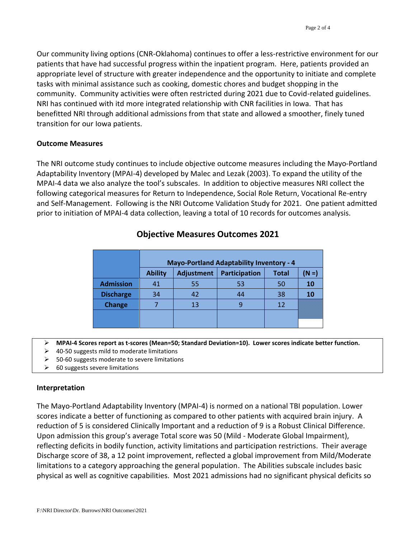Our community living options (CNR-Oklahoma) continues to offer a less-restrictive environment for our patients that have had successful progress within the inpatient program. Here, patients provided an appropriate level of structure with greater independence and the opportunity to initiate and complete tasks with minimal assistance such as cooking, domestic chores and budget shopping in the community. Community activities were often restricted during 2021 due to Covid-related guidelines. NRI has continued with itd more integrated relationship with CNR facilities in Iowa. That has benefitted NRI through additional admissions from that state and allowed a smoother, finely tuned transition for our Iowa patients.

## **Outcome Measures**

The NRI outcome study continues to include objective outcome measures including the Mayo-Portland Adaptability Inventory (MPAI-4) developed by Malec and Lezak (2003). To expand the utility of the MPAI-4 data we also analyze the tool's subscales. In addition to objective measures NRI collect the following categorical measures for Return to Independence, Social Role Return, Vocational Re-entry and Self-Management. Following is the NRI Outcome Validation Study for 2021. One patient admitted prior to initiation of MPAI-4 data collection, leaving a total of 10 records for outcomes analysis.

|                  | <b>Mayo-Portland Adaptability Inventory - 4</b> |                   |               |              |              |
|------------------|-------------------------------------------------|-------------------|---------------|--------------|--------------|
|                  | <b>Ability</b>                                  | <b>Adjustment</b> | Participation | <b>Total</b> | $N \equiv 1$ |
| <b>Admission</b> | 41                                              | 55                | 53            | 50           | 10           |
| <b>Discharge</b> | 34                                              | 42                | 44            | 38           | 10           |
| <b>Change</b>    |                                                 | 13                | q             | 12           |              |
|                  |                                                 |                   |               |              |              |
|                  |                                                 |                   |               |              |              |

## **Objective Measures Outcomes 2021**

**MPAI-4 Scores report as t-scores (Mean=50; Standard Deviation=10). Lower scores indicate better function.** 

- $\geq$  40-50 suggests mild to moderate limitations
- 50-60 suggests moderate to severe limitations
- $\geq$  60 suggests severe limitations

### **Interpretation**

The Mayo-Portland Adaptability Inventory (MPAI-4) is normed on a national TBI population. Lower scores indicate a better of functioning as compared to other patients with acquired brain injury. A reduction of 5 is considered Clinically Important and a reduction of 9 is a Robust Clinical Difference. Upon admission this group's average Total score was 50 (Mild - Moderate Global Impairment), reflecting deficits in bodily function, activity limitations and participation restrictions. Their average Discharge score of 38, a 12 point improvement, reflected a global improvement from Mild/Moderate limitations to a category approaching the general population. The Abilities subscale includes basic physical as well as cognitive capabilities. Most 2021 admissions had no significant physical deficits so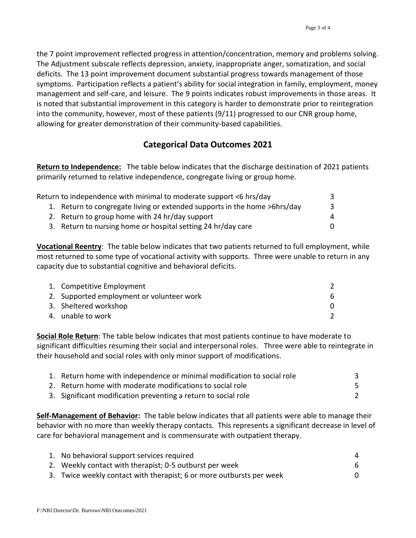the 7 point improvement reflected progress in attention/concentration, memory and problems solving. The Adjustment subscale reflects depression, anxiety, inappropriate anger, somatization, and social deficits. The 13 point improvement document substantial progress towards management of those symptoms. Participation reflects a patient's ability for social integration in family, employment, money management and self-care, and leisure. The 9 points indicates robust improvements in those areas. It is noted that substantial improvement in this category is harder to demonstrate prior to reintegration into the community, however, most of these patients (9/11) progressed to our CNR group home, allowing for greater demonstration of their community-based capabilities.

## **Categorical Data Outcomes 2021**

**Return to Independence:** The table below indicates that the discharge destination of 2021 patients primarily returned to relative independence, congregate living or group home.

| Return to independence with minimal to moderate support <6 hrs/day        |   |
|---------------------------------------------------------------------------|---|
| 1. Return to congregate living or extended supports in the home >6hrs/day | 3 |
| 2. Return to group home with 24 hr/day support                            | 4 |
| 3. Return to nursing home or hospital setting 24 hr/day care              | 0 |

**Vocational Reentry**: The table below indicates that two patients returned to full employment, while most returned to some type of vocational activity with supports. Three were unable to return in any capacity due to substantial cognitive and behavioral deficits.

| 1. Competitive Employment                 |    |
|-------------------------------------------|----|
| 2. Supported employment or volunteer work | 6. |
| 3. Sheltered workshop                     |    |
| 4. unable to work                         |    |

**Social Role Return**: The table below indicates that most patients continue to have moderate to significant difficulties resuming their social and interpersonal roles. Three were able to reintegrate in their household and social roles with only minor support of modifications.

| 1. Return home with independence or minimal modification to social role |  |
|-------------------------------------------------------------------------|--|
| 2. Return home with moderate modifications to social role               |  |
| 3. Significant modification preventing a return to social role          |  |

**Self-Management of Behavior:** The table below indicates that all patients were able to manage their behavior with no more than weekly therapy contacts. This represents a significant decrease in level of care for behavioral management and is commensurate with outpatient therapy.

| 1. No behavioral support services required                           |  |
|----------------------------------------------------------------------|--|
| 2. Weekly contact with therapist; 0-5 outburst per week              |  |
| 3. Twice weekly contact with therapist; 6 or more outbursts per week |  |